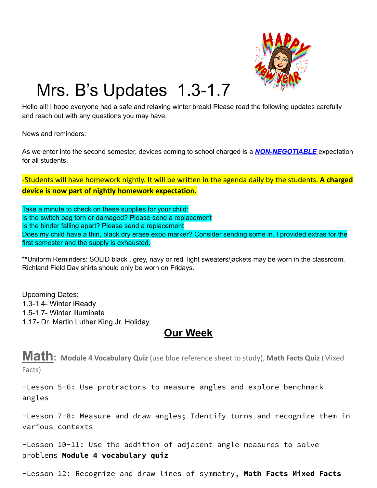

## Mrs. B's Updates 1.3-1.7

Hello all! I hope everyone had a safe and relaxing winter break! Please read the following updates carefully and reach out with any questions you may have.

News and reminders:

As we enter into the second semester, devices coming to school charged is a *NON-NEGOTIABLE* expectation for all students.

-Students will have homework nightly. It will be written in the agenda daily by the students. **A charged device is now part of nightly homework expectation.**

Take a minute to check on these supplies for your child: Is the switch bag torn or damaged? Please send a replacement Is the binder falling apart? Please send a replacement Does my child have a thin, black dry erase expo marker? Consider sending some in. I provided extras for the first semester and the supply is exhausted.

\*\*Uniform Reminders: SOLID black , grey, navy or red light sweaters/jackets may be worn in the classroom. Richland Field Day shirts should only be worn on Fridays.

Upcoming Dates: 1.3-1.4- Winter iReady 1.5-1.7- Winter Illuminate 1.17- Dr. Martin Luther King Jr. Holiday

## **Our Week**

**Math: Module <sup>4</sup> Vocabulary Quiz** (use blue reference sheet to study), **Math Facts Quiz** (Mixed Facts)

-Lesson 5-6: Use protractors to measure angles and explore benchmark angles

-Lesson 7-8: Measure and draw angles; Identify turns and recognize them in various contexts

-Lesson 10-11: Use the addition of adjacent angle measures to solve problems **Module 4 vocabulary quiz**

-Lesson 12: Recognize and draw lines of symmetry, **Math Facts Mixed Facts**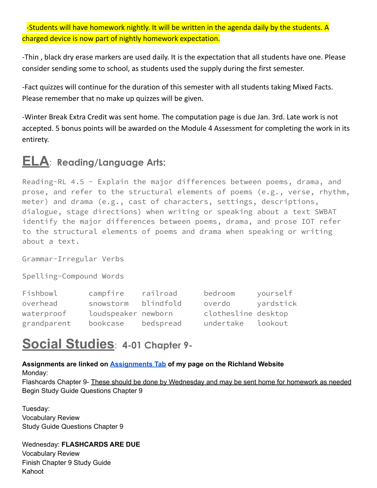-Students will have homework nightly. It will be written in the agenda daily by the students. A charged device is now part of nightly homework expectation.

-Thin , black dry erase markers are used daily. It is the expectation that all students have one. Please consider sending some to school, as students used the supply during the first semester.

-Fact quizzes will continue for the duration of this semester with all students taking Mixed Facts. Please remember that no make up quizzes will be given.

-Winter Break Extra Credit was sent home. The computation page is due Jan. 3rd. Late work is not accepted. 5 bonus points will be awarded on the Module 4 Assessment for completing the work in its entirety.

## **ELA**: **Reading/Language Arts:**

Reading-RL 4.5 - Explain the major differences between poems, drama, and prose, and refer to the structural elements of poems (e.g., verse, rhythm, meter) and drama (e.g., cast of characters, settings, descriptions, dialogue, stage directions) when writing or speaking about a text SWBAT identify the major differences between poems, drama, and prose IOT refer to the structural elements of poems and drama when speaking or writing about a text.

Grammar-Irregular Verbs

Spelling-Compound Words

| Fishbowl    | campfire            | railroad  | bedroom             | yourself  |
|-------------|---------------------|-----------|---------------------|-----------|
| overhead    | snowstorm           | blindfold | overdo              | yardstick |
| waterproof  | loudspeaker newborn |           | clothesline desktop |           |
| grandparent | bookcase            | bedspread | undertake           | lookout   |

## **Social Studies**: **4-01 Chapter 9-**

**Assignments are linked on [Assignments](https://schools.scsk12.org/Page/14428) Tab of my page on the Richland Website** Monday: Flashcards Chapter 9- These should be done by Wednesday and may be sent home for homework as needed Begin Study Guide Questions Chapter 9

Tuesday: Vocabulary Review Study Guide Questions Chapter 9

Wednesday: **FLASHCARDS ARE DUE** Vocabulary Review Finish Chapter 9 Study Guide Kahoot